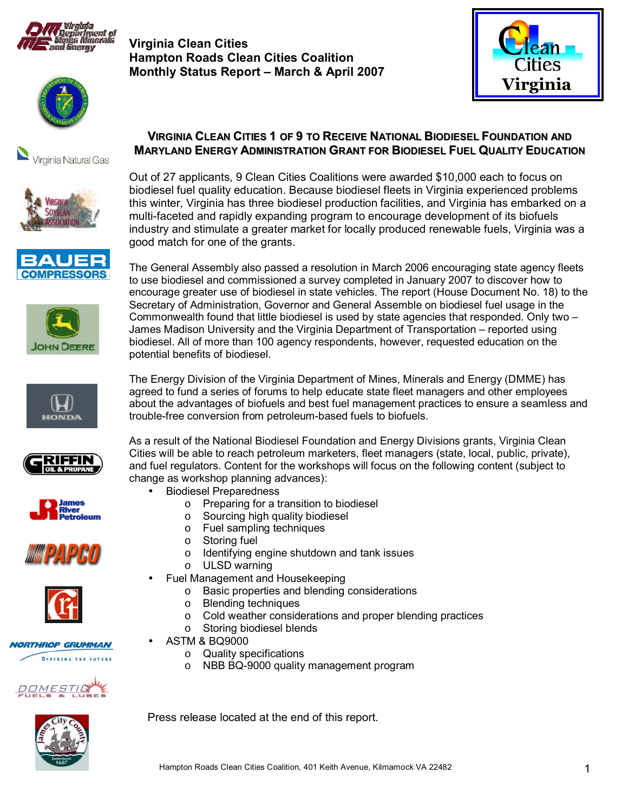

**Virginia Clean Cities Hampton Roads Clean Cities Coalition Monthly Status Report - March & April 2007** 























**NORTHROP GRUMMAN DEFINING THE FUTURE** 



**VIRGINIA CLEAN CITIES 1 OF 9 TO RECEIVE NATIONAL BIODIESEL FOUNDATION AND MARYLAND ENERGY ADMINISTRATION GRANT FOR BIODIESEL FUEL QUALITY EDUCATION**

Out of 27 applicants, 9 Clean Cities Coalitions were awarded \$10,000 each to focus on biodiesel fuel quality education. Because biodiesel fleets in Virginia experienced problems this winter, Virginia has three biodiesel production facilities, and Virginia has embarked on a multi-faceted and rapidly expanding program to encourage development of its biofuels industry and stimulate a greater market for locally produced renewable fuels, Virginia was a good match for one of the grants.

The General Assembly also passed a resolution in March 2006 encouraging state agency fleets to use biodiesel and commissioned a survey completed in January 2007 to discover how to encourage greater use of biodiesel in state vehicles. The report (House Document No. 18) to the Secretary of Administration, Governor and General Assemble on biodiesel fuel usage in the Commonwealth found that little biodiesel is used by state agencies that responded. Only two  $-$ James Madison University and the Virginia Department of Transportation – reported using biodiesel. All of more than 100 agency respondents, however, requested education on the potential benefits of biodiesel.

The Energy Division of the Virginia Department of Mines, Minerals and Energy (DMME) has agreed to fund a series of forums to help educate state fleet managers and other employees about the advantages of biofuels and best fuel management practices to ensure a seamless and trouble-free conversion from petroleum-based fuels to biofuels.

As a result of the National Biodiesel Foundation and Energy Divisions grants, Virginia Clean Cities will be able to reach petroleum marketers, fleet managers (state, local, public, private), and fuel regulators. Content for the workshops will focus on the following content (subject to change as workshop planning advances):

- Biodiesel Preparedness
	- o Preparing for a transition to biodiesel
	- o Sourcing high quality biodiesel
	- o Fuel sampling techniques
	- o Storing fuel
	- o Identifying engine shutdown and tank issues
	- o ULSD warning
- Fuel Management and Housekeeping
	- o Basic properties and blending considerations
	- o Blending techniques
	- o Cold weather considerations and proper blending practices
	- o Storing biodiesel blends
	- ASTM & BQ9000
		- o Quality specifications
		- o NBB BQ-9000 quality management program



Press release located at the end of this report.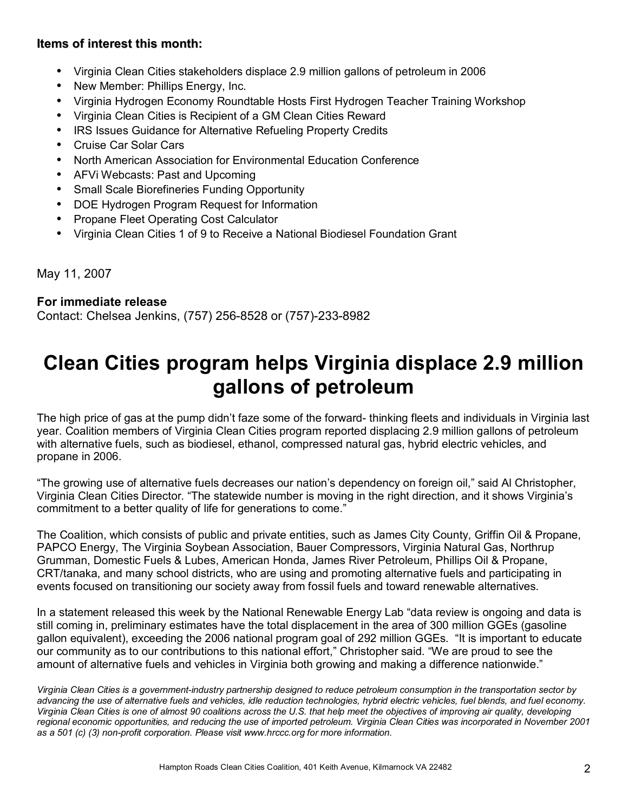## **Items of interest this month:**

- Virginia Clean Cities stakeholders displace 2.9 million gallons of petroleum in 2006
- New Member: Phillips Energy, Inc.
- Virginia Hydrogen Economy Roundtable Hosts First Hydrogen Teacher Training Workshop
- Virginia Clean Cities is Recipient of a GM Clean Cities Reward
- IRS Issues Guidance for Alternative Refueling Property Credits
- Cruise Car Solar Cars
- North American Association for Environmental Education Conference
- AFVi Webcasts: Past and Upcoming
- Small Scale Biorefineries Funding Opportunity
- DOE Hydrogen Program Request for Information
- Propane Fleet Operating Cost Calculator
- Virginia Clean Cities 1 of 9 to Receive a National Biodiesel Foundation Grant

May 11, 2007

### **For immediate release**

Contact: Chelsea Jenkins, (757) 256-8528 or (757)-233-8982

# **Clean Cities program helps Virginia displace 2.9 million gallons of petroleum**

The high price of gas at the pump didn't faze some of the forward- thinking fleets and individuals in Virginia last year. Coalition members of Virginia Clean Cities program reported displacing 2.9 million gallons of petroleum with alternative fuels, such as biodiesel, ethanol, compressed natural gas, hybrid electric vehicles, and propane in 2006.

ìThe growing use of alternative fuels decreases our nationís dependency on foreign oil,î said Al Christopher, Virginia Clean Cities Director. "The statewide number is moving in the right direction, and it shows Virginia's commitment to a better quality of life for generations to come.<sup>"</sup>

The Coalition, which consists of public and private entities, such as James City County, Griffin Oil & Propane, PAPCO Energy, The Virginia Soybean Association, Bauer Compressors, Virginia Natural Gas, Northrup Grumman, Domestic Fuels & Lubes, American Honda, James River Petroleum, Phillips Oil & Propane, CRT/tanaka, and many school districts, who are using and promoting alternative fuels and participating in events focused on transitioning our society away from fossil fuels and toward renewable alternatives.

In a statement released this week by the National Renewable Energy Lab "data review is ongoing and data is still coming in, preliminary estimates have the total displacement in the area of 300 million GGEs (gasoline gallon equivalent), exceeding the 2006 national program goal of 292 million GGEs. "It is important to educate our community as to our contributions to this national effort," Christopher said. "We are proud to see the amount of alternative fuels and vehicles in Virginia both growing and making a difference nationwide."

*Virginia Clean Cities is a government-industry partnership designed to reduce petroleum consumption in the transportation sector by advancing the use of alternative fuels and vehicles, idle reduction technologies, hybrid electric vehicles, fuel blends, and fuel economy. Virginia Clean Cities is one of almost 90 coalitions across the U.S. that help meet the objectives of improving air quality, developing regional economic opportunities, and reducing the use of imported petroleum. Virginia Clean Cities was incorporated in November 2001 as a 501 (c) (3) non-profit corporation. Please visit www.hrccc.org for more information.*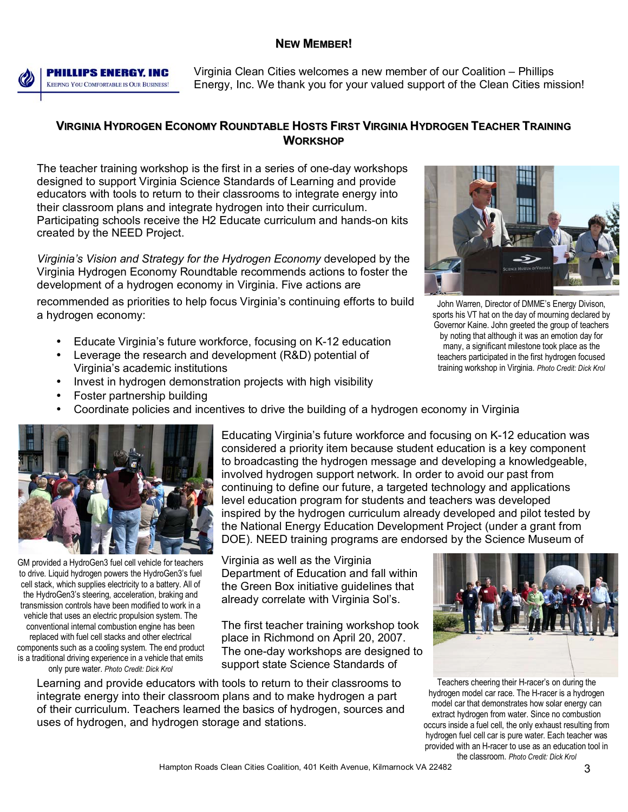#### **NEW MEMBER!**



**PHILLIPS ENERGY, INC KEEPING YOU COMFORTABLE IS OUR BUSINESS!**  Virginia Clean Cities welcomes a new member of our Coalition – Phillips Energy, Inc. We thank you for your valued support of the Clean Cities mission!

### **VIRGINIA HYDROGEN ECONOMY ROUNDTABLE HOSTS FIRST VIRGINIA HYDROGEN TEACHER TRAINING WORKSHOP**

The teacher training workshop is the first in a series of one-day workshops designed to support Virginia Science Standards of Learning and provide educators with tools to return to their classrooms to integrate energy into their classroom plans and integrate hydrogen into their curriculum. Participating schools receive the H2 Educate curriculum and hands-on kits created by the NEED Project.

*Virginiaís Vision and Strategy for the Hydrogen Economy* developed by the Virginia Hydrogen Economy Roundtable recommends actions to foster the development of a hydrogen economy in Virginia. Five actions are

recommended as priorities to help focus Virginia's continuing efforts to build a hydrogen economy:

- Educate Virginiaís future workforce, focusing on K-12 education
- Leverage the research and development (R&D) potential of Virginiaís academic institutions
- Invest in hydrogen demonstration projects with high visibility
- Foster partnership building
- Coordinate policies and incentives to drive the building of a hydrogen economy in Virginia



John Warren, Director of DMME's Energy Divison, sports his VT hat on the day of mourning declared by Governor Kaine. John greeted the group of teachers by noting that although it was an emotion day for many, a significant milestone took place as the teachers participated in the first hydrogen focused training workshop in Virginia. *Photo Credit: Dick Krol*



GM provided a HydroGen3 fuel cell vehicle for teachers to drive. Liquid hydrogen powers the HydroGen3's fuel cell stack, which supplies electricity to a battery. All of the HydroGen3's steering, acceleration, braking and transmission controls have been modified to work in a vehicle that uses an electric propulsion system. The conventional internal combustion engine has been replaced with fuel cell stacks and other electrical components such as a cooling system. The end product is a traditional driving experience in a vehicle that emits only pure water. *Photo Credit: Dick Krol*

Educating Virginiaís future workforce and focusing on K-12 education was considered a priority item because student education is a key component to broadcasting the hydrogen message and developing a knowledgeable, involved hydrogen support network. In order to avoid our past from continuing to define our future, a targeted technology and applications level education program for students and teachers was developed inspired by the hydrogen curriculum already developed and pilot tested by the National Energy Education Development Project (under a grant from DOE). NEED training programs are endorsed by the Science Museum of

Virginia as well as the Virginia Department of Education and fall within the Green Box initiative guidelines that already correlate with Virginia Sol's.

The first teacher training workshop took place in Richmond on April 20, 2007. The one-day workshops are designed to support state Science Standards of

Learning and provide educators with tools to return to their classrooms to integrate energy into their classroom plans and to make hydrogen a part of their curriculum. Teachers learned the basics of hydrogen, sources and uses of hydrogen, and hydrogen storage and stations.



Teachers cheering their H-racer's on during the hydrogen model car race. The H-racer is a hydrogen model car that demonstrates how solar energy can extract hydrogen from water. Since no combustion occurs inside a fuel cell, the only exhaust resulting from hydrogen fuel cell car is pure water. Each teacher was provided with an H-racer to use as an education tool in the classroom. *Photo Credit: Dick Krol*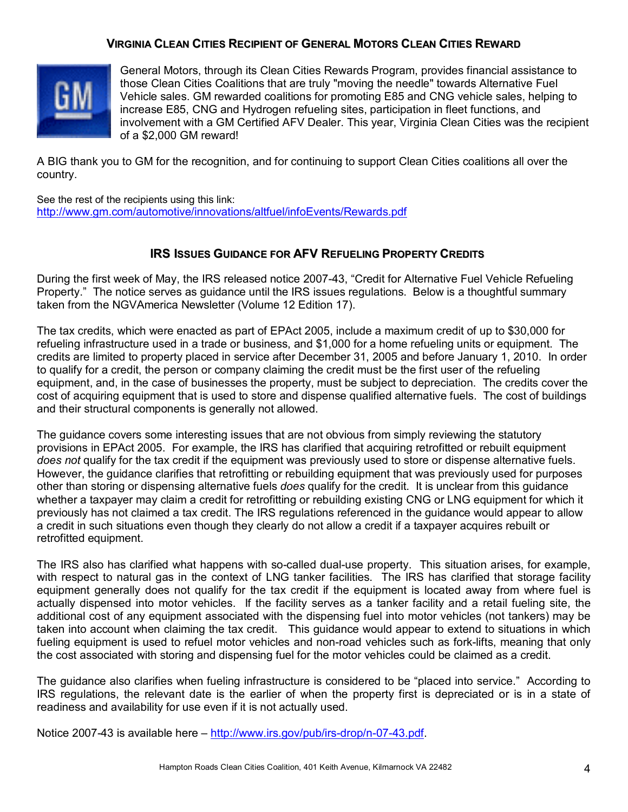#### **VIRGINIA CLEAN CITIES RECIPIENT OF GENERAL MOTORS CLEAN CITIES REWARD**



General Motors, through its Clean Cities Rewards Program, provides financial assistance to those Clean Cities Coalitions that are truly "moving the needle" towards Alternative Fuel Vehicle sales. GM rewarded coalitions for promoting E85 and CNG vehicle sales, helping to increase E85, CNG and Hydrogen refueling sites, participation in fleet functions, and involvement with a GM Certified AFV Dealer. This year, Virginia Clean Cities was the recipient of a \$2,000 GM reward!

A BIG thank you to GM for the recognition, and for continuing to support Clean Cities coalitions all over the country.

See the rest of the recipients using this link: http://www.gm.com/automotive/innovations/altfuel/infoEvents/Rewards.pdf

#### **IRS ISSUES GUIDANCE FOR AFV REFUELING PROPERTY CREDITS**

During the first week of May, the IRS released notice 2007-43, "Credit for Alternative Fuel Vehicle Refueling Property." The notice serves as guidance until the IRS issues regulations. Below is a thoughtful summary taken from the NGVAmerica Newsletter (Volume 12 Edition 17).

The tax credits, which were enacted as part of EPAct 2005, include a maximum credit of up to \$30,000 for refueling infrastructure used in a trade or business, and \$1,000 for a home refueling units or equipment. The credits are limited to property placed in service after December 31, 2005 and before January 1, 2010. In order to qualify for a credit, the person or company claiming the credit must be the first user of the refueling equipment, and, in the case of businesses the property, must be subject to depreciation. The credits cover the cost of acquiring equipment that is used to store and dispense qualified alternative fuels. The cost of buildings and their structural components is generally not allowed.

The guidance covers some interesting issues that are not obvious from simply reviewing the statutory provisions in EPAct 2005. For example, the IRS has clarified that acquiring retrofitted or rebuilt equipment *does not* qualify for the tax credit if the equipment was previously used to store or dispense alternative fuels. However, the guidance clarifies that retrofitting or rebuilding equipment that was previously used for purposes other than storing or dispensing alternative fuels *does* qualify for the credit. It is unclear from this guidance whether a taxpayer may claim a credit for retrofitting or rebuilding existing CNG or LNG equipment for which it previously has not claimed a tax credit. The IRS regulations referenced in the guidance would appear to allow a credit in such situations even though they clearly do not allow a credit if a taxpayer acquires rebuilt or retrofitted equipment.

The IRS also has clarified what happens with so-called dual-use property. This situation arises, for example, with respect to natural gas in the context of LNG tanker facilities. The IRS has clarified that storage facility equipment generally does not qualify for the tax credit if the equipment is located away from where fuel is actually dispensed into motor vehicles. If the facility serves as a tanker facility and a retail fueling site, the additional cost of any equipment associated with the dispensing fuel into motor vehicles (not tankers) may be taken into account when claiming the tax credit. This guidance would appear to extend to situations in which fueling equipment is used to refuel motor vehicles and non-road vehicles such as fork-lifts, meaning that only the cost associated with storing and dispensing fuel for the motor vehicles could be claimed as a credit.

The guidance also clarifies when fueling infrastructure is considered to be "placed into service." According to IRS regulations, the relevant date is the earlier of when the property first is depreciated or is in a state of readiness and availability for use even if it is not actually used.

Notice 2007-43 is available here – http://www.irs.gov/pub/irs-drop/n-07-43.pdf.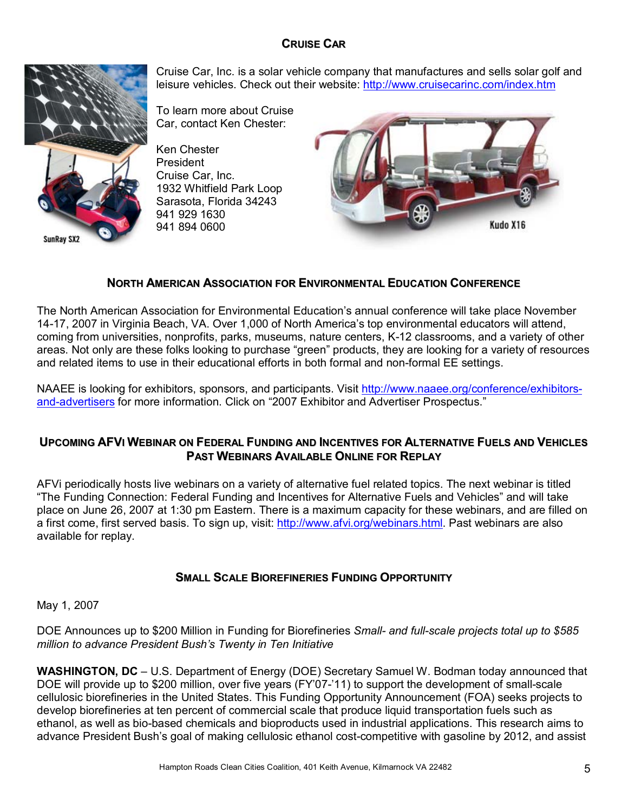# **CRUISE CAR**



Cruise Car, Inc. is a solar vehicle company that manufactures and sells solar golf and leisure vehicles. Check out their website: http://www.cruisecarinc.com/index.htm

To learn more about Cruise Car, contact Ken Chester:

Ken Chester President Cruise Car, Inc. 1932 Whitfield Park Loop Sarasota, Florida 34243 941 929 1630 941 894 0600



## **NORTH AMERICAN ASSOCIATION FOR ENVIRONMENTAL EDUCATION CONFERENCE**

The North American Association for Environmental Educationís annual conference will take place November 14-17, 2007 in Virginia Beach, VA. Over 1,000 of North Americaís top environmental educators will attend, coming from universities, nonprofits, parks, museums, nature centers, K-12 classrooms, and a variety of other areas. Not only are these folks looking to purchase "green" products, they are looking for a variety of resources and related items to use in their educational efforts in both formal and non-formal EE settings.

NAAEE is looking for exhibitors, sponsors, and participants. Visit http://www.naaee.org/conference/exhibitorsand-advertisers for more information. Click on "2007 Exhibitor and Advertiser Prospectus."

### **UPCOMING AFVI WEBINAR ON FEDERAL FUNDING AND INCENTIVES FOR ALTERNATIVE FUELS AND VEHICLES PAST WEBINARS AVAILABLE ONLINE FOR REPLAY**

AFVi periodically hosts live webinars on a variety of alternative fuel related topics. The next webinar is titled "The Funding Connection: Federal Funding and Incentives for Alternative Fuels and Vehicles" and will take place on June 26, 2007 at 1:30 pm Eastern. There is a maximum capacity for these webinars, and are filled on a first come, first served basis. To sign up, visit: http://www.afvi.org/webinars.html. Past webinars are also available for replay.

### **SMALL SCALE BIOREFINERIES FUNDING OPPORTUNITY**

May 1, 2007

DOE Announces up to \$200 Million in Funding for Biorefineries *Small- and full-scale projects total up to \$585 million to advance President Bushís Twenty in Ten Initiative*

**WASHINGTON, DC** – U.S. Department of Energy (DOE) Secretary Samuel W. Bodman today announced that DOE will provide up to \$200 million, over five years (FY'07-'11) to support the development of small-scale cellulosic biorefineries in the United States. This Funding Opportunity Announcement (FOA) seeks projects to develop biorefineries at ten percent of commercial scale that produce liquid transportation fuels such as ethanol, as well as bio-based chemicals and bioproducts used in industrial applications. This research aims to advance President Bushís goal of making cellulosic ethanol cost-competitive with gasoline by 2012, and assist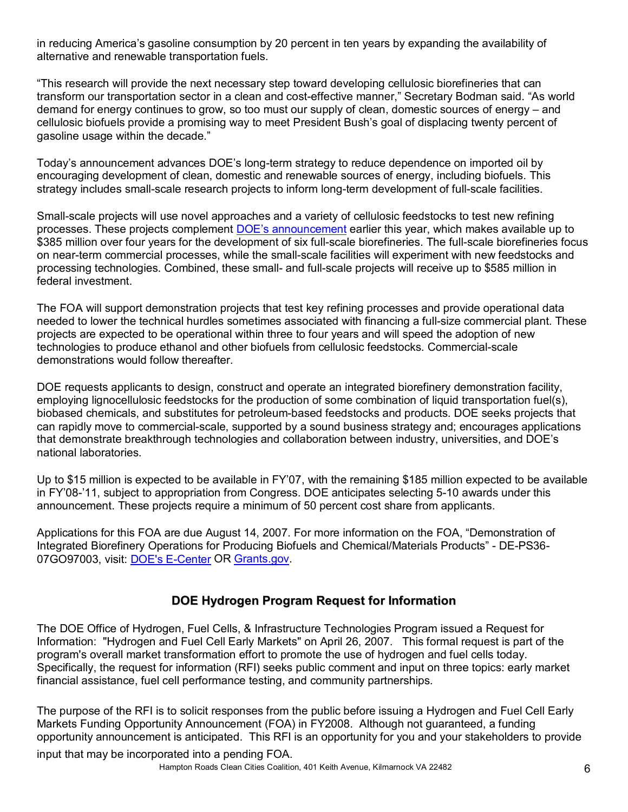in reducing Americaís gasoline consumption by 20 percent in ten years by expanding the availability of alternative and renewable transportation fuels.

ìThis research will provide the next necessary step toward developing cellulosic biorefineries that can transform our transportation sector in a clean and cost-effective manner," Secretary Bodman said. "As world demand for energy continues to grow, so too must our supply of clean, domestic sources of energy  $-$  and cellulosic biofuels provide a promising way to meet President Bushís goal of displacing twenty percent of gasoline usage within the decade."

Today's announcement advances DOE's long-term strategy to reduce dependence on imported oil by encouraging development of clean, domestic and renewable sources of energy, including biofuels. This strategy includes small-scale research projects to inform long-term development of full-scale facilities.

Small-scale projects will use novel approaches and a variety of cellulosic feedstocks to test new refining processes. These projects complement DOE's announcement earlier this year, which makes available up to \$385 million over four years for the development of six full-scale biorefineries. The full-scale biorefineries focus on near-term commercial processes, while the small-scale facilities will experiment with new feedstocks and processing technologies. Combined, these small- and full-scale projects will receive up to \$585 million in federal investment.

The FOA will support demonstration projects that test key refining processes and provide operational data needed to lower the technical hurdles sometimes associated with financing a full-size commercial plant. These projects are expected to be operational within three to four years and will speed the adoption of new technologies to produce ethanol and other biofuels from cellulosic feedstocks. Commercial-scale demonstrations would follow thereafter.

DOE requests applicants to design, construct and operate an integrated biorefinery demonstration facility, employing lignocellulosic feedstocks for the production of some combination of liquid transportation fuel(s), biobased chemicals, and substitutes for petroleum-based feedstocks and products. DOE seeks projects that can rapidly move to commercial-scale, supported by a sound business strategy and; encourages applications that demonstrate breakthrough technologies and collaboration between industry, universities, and DOEís national laboratories.

Up to \$15 million is expected to be available in FY'07, with the remaining \$185 million expected to be available in FYí08-í11, subject to appropriation from Congress. DOE anticipates selecting 5-10 awards under this announcement. These projects require a minimum of 50 percent cost share from applicants.

Applications for this FOA are due August 14, 2007. For more information on the FOA, "Demonstration of Integrated Biorefinery Operations for Producing Biofuels and Chemical/Materials Productsî - DE-PS36- 07GO97003, visit: DOE's E-Center OR Grants.gov.

# **DOE Hydrogen Program Request for Information**

The DOE Office of Hydrogen, Fuel Cells, & Infrastructure Technologies Program issued a Request for Information: "Hydrogen and Fuel Cell Early Markets" on April 26, 2007. This formal request is part of the program's overall market transformation effort to promote the use of hydrogen and fuel cells today. Specifically, the request for information (RFI) seeks public comment and input on three topics: early market financial assistance, fuel cell performance testing, and community partnerships.

The purpose of the RFI is to solicit responses from the public before issuing a Hydrogen and Fuel Cell Early Markets Funding Opportunity Announcement (FOA) in FY2008. Although not guaranteed, a funding opportunity announcement is anticipated. This RFI is an opportunity for you and your stakeholders to provide

input that may be incorporated into a pending FOA.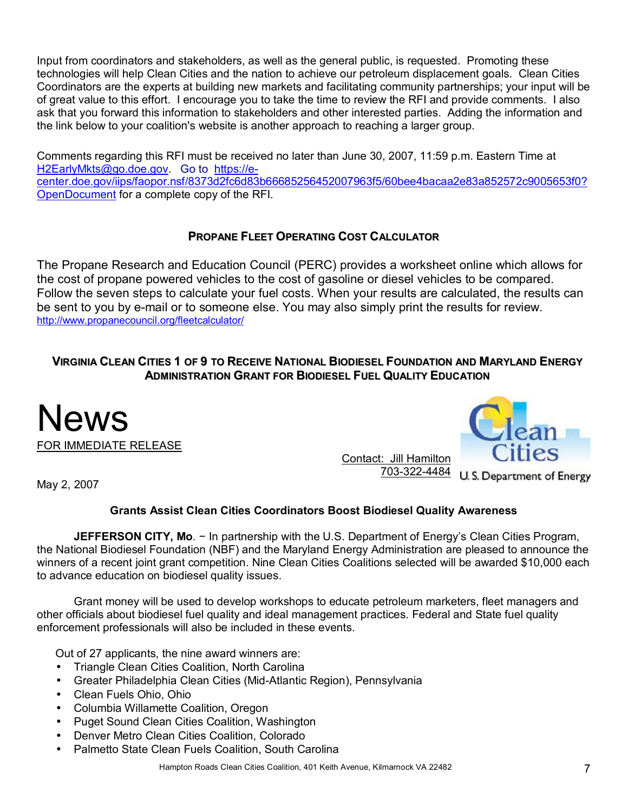Input from coordinators and stakeholders, as well as the general public, is requested. Promoting these technologies will help Clean Cities and the nation to achieve our petroleum displacement goals. Clean Cities Coordinators are the experts at building new markets and facilitating community partnerships; your input will be of great value to this effort. I encourage you to take the time to review the RFI and provide comments. I also ask that you forward this information to stakeholders and other interested parties. Adding the information and the link below to your coalition's website is another approach to reaching a larger group.

Comments regarding this RFI must be received no later than June 30, 2007, 11:59 p.m. Eastern Time at H2EarlyMkts@go.doe.gov. Go to https://ecenter.doe.gov/iips/faopor.nsf/8373d2fc6d83b66685256452007963f5/60bee4bacaa2e83a852572c9005653f0? OpenDocument for a complete copy of the RFI.

# **PROPANE FLEET OPERATING COST CALCULATOR**

The Propane Research and Education Council (PERC) provides a worksheet online which allows for the cost of propane powered vehicles to the cost of gasoline or diesel vehicles to be compared. Follow the seven steps to calculate your fuel costs. When your results are calculated, the results can be sent to you by e-mail or to someone else. You may also simply print the results for review. http://www.propanecouncil.org/fleetcalculator/

## **VIRGINIA CLEAN CITIES 1 OF 9 TO RECEIVE NATIONAL BIODIESEL FOUNDATION AND MARYLAND ENERGY ADMINISTRATION GRANT FOR BIODIESEL FUEL QUALITY EDUCATION**





Contact: Jill Hamilton 703-322-4484 U.S. Department of Energy

May 2, 2007

# **Grants Assist Clean Cities Coordinators Boost Biodiesel Quality Awareness**

**JEFFERSON CITY, Mo**. − In partnership with the U.S. Department of Energyís Clean Cities Program, the National Biodiesel Foundation (NBF) and the Maryland Energy Administration are pleased to announce the winners of a recent joint grant competition. Nine Clean Cities Coalitions selected will be awarded \$10,000 each to advance education on biodiesel quality issues.

Grant money will be used to develop workshops to educate petroleum marketers, fleet managers and other officials about biodiesel fuel quality and ideal management practices. Federal and State fuel quality enforcement professionals will also be included in these events.

Out of 27 applicants, the nine award winners are:

- Triangle Clean Cities Coalition, North Carolina
- Greater Philadelphia Clean Cities (Mid-Atlantic Region), Pennsylvania
- Clean Fuels Ohio, Ohio
- Columbia Willamette Coalition, Oregon
- Puget Sound Clean Cities Coalition, Washington
- Denver Metro Clean Cities Coalition, Colorado
- Palmetto State Clean Fuels Coalition, South Carolina